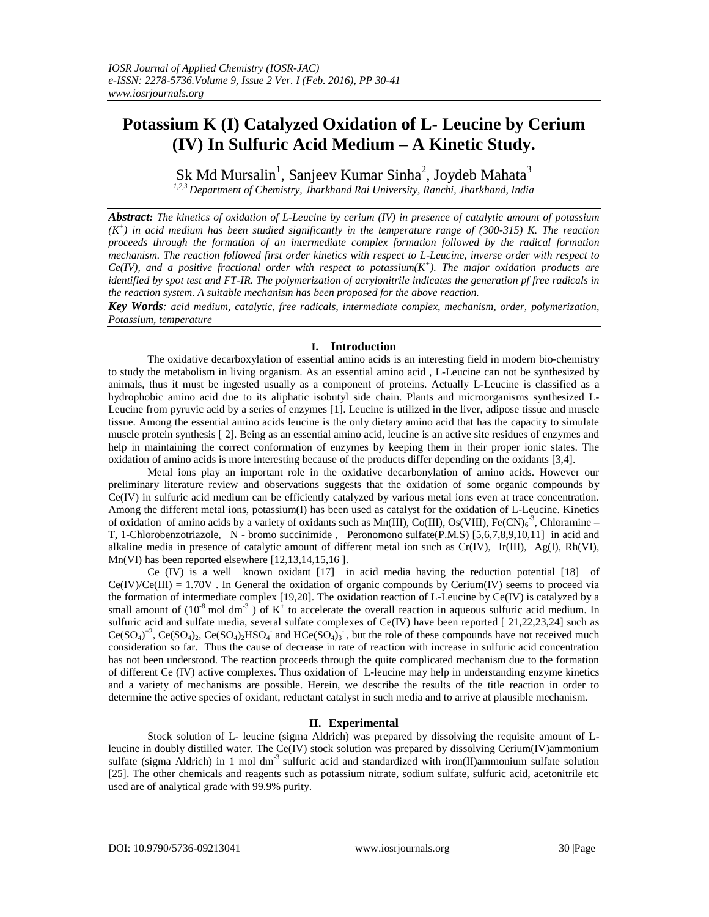# **Potassium K (I) Catalyzed Oxidation of L- Leucine by Cerium (IV) In Sulfuric Acid Medium – A Kinetic Study.**

Sk Md Mursalin $^1$ , Sanjeev Kumar Sinha $^2$ , Joydeb Mahata $^3$ *1,2,3 Department of Chemistry, Jharkhand Rai University, Ranchi, Jharkhand, India*

*Abstract: The kinetics of oxidation of L-Leucine by cerium (IV) in presence of catalytic amount of potassium (K + ) in acid medium has been studied significantly in the temperature range of (300-315) K. The reaction proceeds through the formation of an intermediate complex formation followed by the radical formation mechanism. The reaction followed first order kinetics with respect to L-Leucine, inverse order with respect to Ce(IV), and a positive fractional order with respect to potassium(K<sup>+</sup> ). The major oxidation products are identified by spot test and FT-IR. The polymerization of acrylonitrile indicates the generation pf free radicals in the reaction system. A suitable mechanism has been proposed for the above reaction.*

*Key Words: acid medium, catalytic, free radicals, intermediate complex, mechanism, order, polymerization, Potassium, temperature*

# **I. Introduction**

The oxidative decarboxylation of essential amino acids is an interesting field in modern bio-chemistry to study the metabolism in living organism. As an essential amino acid , L-Leucine can not be synthesized by animals, thus it must be ingested usually as a component of proteins. Actually L-Leucine is classified as a hydrophobic amino acid due to its aliphatic isobutyl side chain. Plants and microorganisms synthesized L-Leucine from pyruvic acid by a series of enzymes [1]. Leucine is utilized in the liver, adipose tissue and muscle tissue. Among the essential amino acids leucine is the only dietary amino acid that has the capacity to simulate muscle protein synthesis [ 2]. Being as an essential amino acid, leucine is an active site residues of enzymes and help in maintaining the correct conformation of enzymes by keeping them in their proper ionic states. The oxidation of amino acids is more interesting because of the products differ depending on the oxidants [3,4].

Metal ions play an important role in the oxidative decarbonylation of amino acids. However our preliminary literature review and observations suggests that the oxidation of some organic compounds by Ce(IV) in sulfuric acid medium can be efficiently catalyzed by various metal ions even at trace concentration. Among the different metal ions, potassium(I) has been used as catalyst for the oxidation of L-Leucine. Kinetics of oxidation of amino acids by a variety of oxidants such as  $Mn(III)$ ,  $Co(III)$ ,  $Os(VIII)$ ,  $Fe(CN)<sub>6</sub>$ <sup>3</sup>, Chloramine – T, 1-Chlorobenzotriazole, N - bromo succinimide , Peronomono sulfate(P.M.S) [5,6,7,8,9,10,11] in acid and alkaline media in presence of catalytic amount of different metal ion such as  $Cr(V)$ ,  $Ir(III)$ ,  $Ag(I)$ ,  $Rh(VI)$ , Mn(VI) has been reported elsewhere [12,13,14,15,16 ].

Ce (IV) is a well known oxidant [17] in acid media having the reduction potential [18] of  $Ce(IV)/Ce(III) = 1.70V$ . In General the oxidation of organic compounds by Cerium(IV) seems to proceed via the formation of intermediate complex [19,20]. The oxidation reaction of L-Leucine by Ce(IV) is catalyzed by a small amount of  $(10^8 \text{ mol dm}^3)$  of K<sup>+</sup> to accelerate the overall reaction in aqueous sulfuric acid medium. In sulfuric acid and sulfate media, several sulfate complexes of Ce(IV) have been reported [21,22,23,24] such as  $Ce(SO_4)^{+2}$ ,  $Ce(SO_4)_2$ ,  $Ce(SO_4)_2HSO_4$  and  $HCe(SO_4)_3$ , but the role of these compounds have not received much consideration so far. Thus the cause of decrease in rate of reaction with increase in sulfuric acid concentration has not been understood. The reaction proceeds through the quite complicated mechanism due to the formation of different Ce (IV) active complexes. Thus oxidation of L-leucine may help in understanding enzyme kinetics and a variety of mechanisms are possible. Herein, we describe the results of the title reaction in order to determine the active species of oxidant, reductant catalyst in such media and to arrive at plausible mechanism.

# **II. Experimental**

Stock solution of L- leucine (sigma Aldrich) was prepared by dissolving the requisite amount of Lleucine in doubly distilled water. The Ce(IV) stock solution was prepared by dissolving Cerium(IV)ammonium sulfate (sigma Aldrich) in 1 mol dm<sup>-3</sup> sulfuric acid and standardized with iron(II)ammonium sulfate solution [25]. The other chemicals and reagents such as potassium nitrate, sodium sulfate, sulfuric acid, acetonitrile etc used are of analytical grade with 99.9% purity.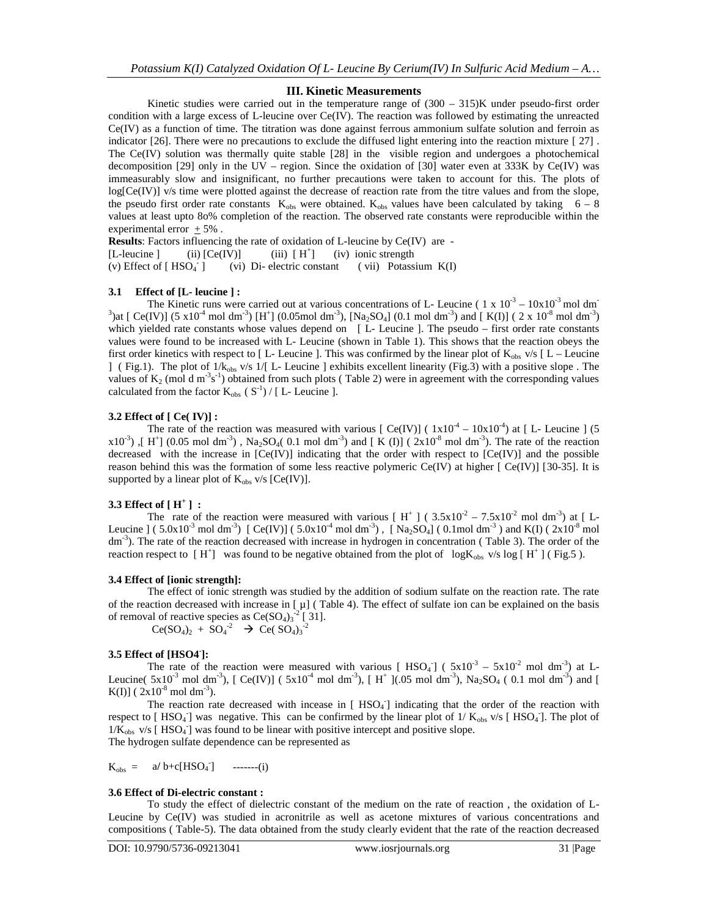#### **III. Kinetic Measurements**

Kinetic studies were carried out in the temperature range of  $(300 - 315)$ K under pseudo-first order condition with a large excess of L-leucine over  $Ce(V)$ . The reaction was followed by estimating the unreacted Ce(IV) as a function of time. The titration was done against ferrous ammonium sulfate solution and ferroin as indicator [26]. There were no precautions to exclude the diffused light entering into the reaction mixture [ 27] . The Ce(IV) solution was thermally quite stable [28] in the visible region and undergoes a photochemical decomposition [29] only in the UV – region. Since the oxidation of [30] water even at 333K by Ce(IV) was immeasurably slow and insignificant, no further precautions were taken to account for this. The plots of log[Ce(IV)] v/s time were plotted against the decrease of reaction rate from the titre values and from the slope, the pseudo first order rate constants  $K_{obs}$  were obtained.  $K_{obs}$  values have been calculated by taking 6 – 8 values at least upto 8o% completion of the reaction. The observed rate constants were reproducible within the experimental error  $+5%$ .

**Results**: Factors influencing the rate of oxidation of L-leucine by Ce(IV) are - [L-leucine ] (ii)  $[Ce(IV)]$  (iii)  $[H^+]$ (iv) ionic strength (v) Effect of  $[$  HSO $_4$ <sup>-</sup>  $]$ (vi)  $Di$ - electric constant ( vii) Potassium  $K(I)$ 

**3.1 Effect of [L- leucine ] :**<br>The Kinetic runs were carried out at various concentrations of L- Leucine (1 x 10<sup>-3</sup> – 10x10<sup>-3</sup> mol dm<sup>-</sup> The Kinetic runs were carried out at various concentrations of L- Leucine ( 1 x  $10^{-3}$  –  $10x10^{-3}$  mol dm<sup>-3</sup>) and [ Ce(IV)] (5 x10<sup>-4</sup> mol dm<sup>-3</sup>) [H<sup>+</sup>] (0.05mol dm<sup>-3</sup>), [Na<sub>2</sub>SO<sub>4</sub>] (0.1 mol dm<sup>-3</sup>) and [ K(I)] (2 x which yielded rate constants whose values depend on [ L- Leucine ]. The pseudo – first order rate constants values were found to be increased with L- Leucine (shown in Table 1). This shows that the reaction obeys the first order kinetics with respect to [L- Leucine]. This was confirmed by the linear plot of  $K_{obs}$  v/s [L – Leucine ] ( Fig.1). The plot of  $1/\tilde{k}_{obs}$  v/s  $1/[$  L- Leucine ] exhibits excellent linearity (Fig.3) with a positive slope. The values of  $K_2$  (mol d m<sup>-3</sup>s<sup>-1</sup>) obtained from such plots (Table 2) were in agreement with the corresponding values calculated from the factor  $K_{obs}$  ( $S^{-1}$ ) / [L- Leucine ].

#### **3.2 Effect of [ Ce( IV)] :**

The rate of the reaction was measured with various  $\int Ce(V)$ ] ( $1x10^{-4} - 10x10^{-4}$ ) at  $\int L$ - Leucine ] (5)  $x10^{-3}$ ), [H<sup>+</sup>] (0.05 mol dm<sup>-3</sup>), Na<sub>2</sub>SO<sub>4</sub>(0.1 mol dm<sup>-3</sup>) and [K(I)] (2x10<sup>-8</sup> mol dm<sup>-3</sup>). The rate of the reaction decreased with the increase in [Ce(IV)] indicating that the order with respect to [Ce(IV)] and the possible reason behind this was the formation of some less reactive polymeric Ce(IV) at higher [ Ce(IV)] [30-35]. It is supported by a linear plot of  $K_{obs}$  v/s  $[Ce(IV)]$ .

# **3.3 Effect of [ H + ] :**

The rate of the reaction were measured with various  $[ H^+ ] ( 3.5 \times 10^{-2} - 7.5 \times 10^{-2} )$  mol dm<sup>-3</sup>) at  $[ L$ Leucine ] (5.0x10<sup>-3</sup> mol dm<sup>-3</sup>) [Ce(IV)] (5.0x10<sup>-4</sup> mol dm<sup>-3</sup>), [Na<sub>2</sub>SO<sub>4</sub>] (0.1mol dm<sup>-3</sup>) and K(I) (2x10<sup>-8</sup> mol  $dm^{-3}$ ). The rate of the reaction decreased with increase in hydrogen in concentration (Table 3). The order of the reaction respect to  $[H^+]$  was found to be negative obtained from the plot of  $log K_{obs}$  v/s  $log[H^+]$  (Fig.5).

#### **3.4 Effect of [ionic strength]:**

The effect of ionic strength was studied by the addition of sodium sulfate on the reaction rate. The rate of the reaction decreased with increase in  $[\mu]$  (Table 4). The effect of sulfate ion can be explained on the basis of removal of reactive species as  $Ce(SO<sub>4</sub>)<sub>3</sub><sup>-2</sup>$  [31].

 $Ce(SO_4)_2 + SO_4^{-2} \rightarrow Ce(SO_4)_3^{-2}$ 

#### **3.5 Effect of [HSO4-]:**

The rate of the reaction were measured with various [  $HSO_4$ ] ( $5x10^{-3} - 5x10^{-2}$  mol dm<sup>-3</sup>) at L-Leucine(  $5x10^3$  mol dm<sup>-3</sup>), [ Ce(IV)] (  $5x10^4$  mol dm<sup>-3</sup>), [ H<sup>+</sup> ](.05 mol dm<sup>-3</sup>), Na<sub>2</sub>SO<sub>4</sub> ( 0.1 mol dm<sup>-3</sup>) and [  $K(I)$ ] (  $2x10^{-8}$  mol dm<sup>-3</sup>).

The reaction rate decreased with incease in  $[$  HSO<sub>4</sub> $]$  indicating that the order of the reaction with respect to [HSO<sub>4</sub>] was negative. This can be confirmed by the linear plot of  $1/K_{obs}$  v/s [HSO<sub>4</sub>]. The plot of  $1/\hat{K}_{obs}$  v/s [HSO<sub>4</sub>] was found to be linear with positive intercept and positive slope. The hydrogen sulfate dependence can be represented as

$$
K_{obs} = a/b+c[HSO_4]
$$
 -----(i)

# **3.6 Effect of Di-electric constant :**

To study the effect of dielectric constant of the medium on the rate of reaction , the oxidation of L- Leucine by Ce(IV) was studied in acronitrile as well as acetone mixtures of various concentrations and compositions ( Table-5). The data obtained from the study clearly evident that the rate of the reaction decreased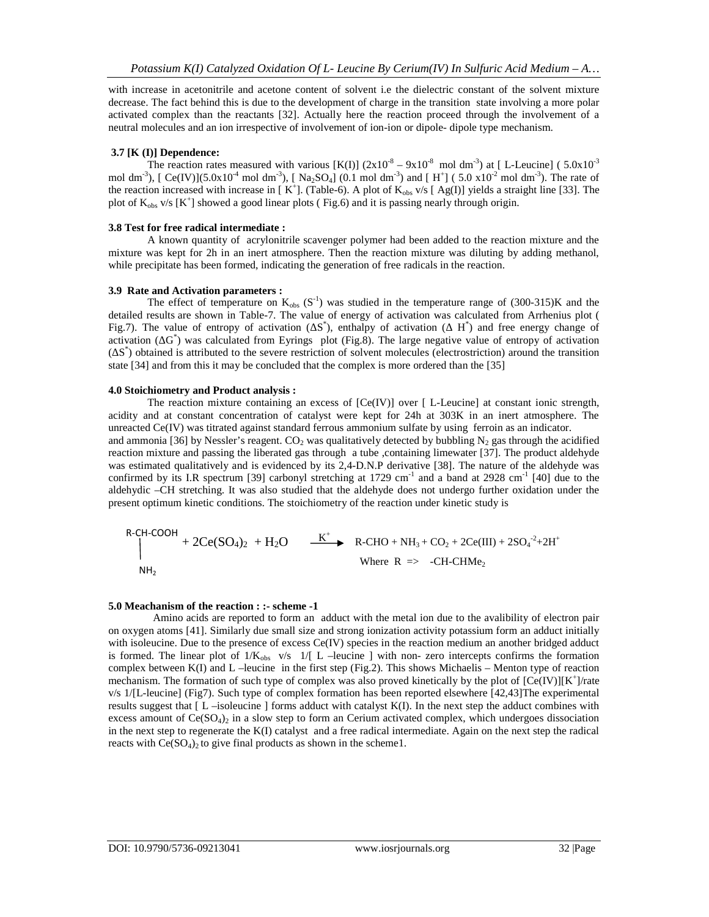with increase in acetonitrile and acetone content of solvent i.e the dielectric constant of the solvent mixture decrease. The fact behind this is due to the development of charge in the transition state involving a more polar activated complex than the reactants [32]. Actually here the reaction proceed through the involvement of a neutral molecules and an ion irrespective of involvement of ion-ion or dipole- dipole type mechanism.

# **3.7 [K (I)] Dependence:**

The reaction rates measured with various  $[K(I)] (2x10<sup>-8</sup> - 9x10<sup>-8</sup>$  mol dm<sup>-3</sup>) at [L-Leucine] (5.0x10<sup>-3</sup> mol dm<sup>-3</sup>), [ Ce(IV)](5.0x10<sup>-4</sup> mol dm<sup>-3</sup>), [ Na<sub>2</sub>SO<sub>4</sub>] (0.1 mol dm<sup>-3</sup>) and [H<sup>+</sup>] (5.0 x10<sup>-2</sup> mol dm<sup>-3</sup>). The rate of the reaction increased with increase in  $[K^+]$ . (Table-6). A plot of  $K_{obs}$  v/s  $[Ag(I)]$  yields a straight line [33]. The plot of  $K_{obs}$  v/s  $[K^+]$  showed a good linear plots (Fig.6) and it is passing nearly through origin.

# **3.8 Test for free radical intermediate :**

A known quantity of acrylonitrile scavenger polymer had been added to the reaction mixture and the mixture was kept for 2h in an inert atmosphere. Then the reaction mixture was diluting by adding methanol, while precipitate has been formed, indicating the generation of free radicals in the reaction.

# **3.9 Rate and Activation parameters :**

The effect of temperature on  $K_{obs}$  (S<sup>-1</sup>) was studied in the temperature range of (300-315)K and the detailed results are shown in Table-7. The value of energy of activation was calculated from Arrhenius plot ( Fig.7). The value of entropy of activation ( $S^*$ ), enthalpy of activation ( $H^*$ ) and free energy change of activation ( $G^*$ ) was calculated from Eyrings plot (Fig.8). The large negative value of entropy of activation  $(S^*)$  obtained is attributed to the severe restriction of solvent molecules (electrostriction) around the transition state [34] and from this it may be concluded that the complex is more ordered than the [35]

# **4.0 Stoichiometry and Product analysis :**

The reaction mixture containing an excess of  $[Ce(V)]$  over  $[ L$ -Leucine at constant ionic strength, acidity and at constant concentration of catalyst were kept for 24h at 303K in an inert atmosphere. The unreacted Ce(IV) was titrated against standard ferrous ammonium sulfate by using ferroin as an indicator. and ammonia [36] by Nessler's reagent.  $CO<sub>2</sub>$  was qualitatively detected by bubbling N<sub>2</sub> gas through the acidified reaction mixture and passing the liberated gas through a tube ,containing limewater [37]. The product aldehyde was estimated qualitatively and is evidenced by its 2,4-D.N.P derivative [38]. The nature of the aldehyde was confirmed by its I.R spectrum [39] carbonyl stretching at 1729 cm<sup>-1</sup> and a band at 2928 cm<sup>-1</sup> [40] due to the aldehydic –CH stretching. It was also studied that the aldehyde does not undergo further oxidation under the present optimum kinetic conditions. The stoichiometry of the reaction under kinetic study is

R-CH-COOH  
+ 
$$
2Ce(SO_4)_2 + H_2O
$$
  $\xrightarrow{K^+}$  R-CHO + NH<sub>3</sub> + CO<sub>2</sub> +  $2Ce(III)$  +  $2SO_4^{-2}$ + $2H^+$   
Where R => -CH-CHMe<sub>2</sub>

#### **5.0 Meachanism of the reaction : :- scheme -1**

 Amino acids are reported to form an adduct with the metal ion due to the avalibility of electron pair on oxygen atoms [41]. Similarly due small size and strong ionization activity potassium form an adduct initially with isoleucine. Due to the presence of excess Ce(IV) species in the reaction medium an another bridged adduct is formed. The linear plot of  $1/K_{obs}$  v/s  $1/[L$  –leucine ] with non- zero intercepts confirms the formation complex between K(I) and L –leucine in the first step (Fig.2). This shows Michaelis – Menton type of reaction mechanism. The formation of such type of complex was also proved kinetically by the plot of  $[Ce(W)][K^+]$ /rate v/s 1/[L-leucine] (Fig7). Such type of complex formation has been reported elsewhere [42,43]The experimental results suggest that  $\lceil L \rceil$ -isoleucine  $\lceil$  forms adduct with catalyst K(I). In the next step the adduct combines with excess amount of  $Ce(SO<sub>4</sub>)<sub>2</sub>$  in a slow step to form an Cerium activated complex, which undergoes dissociation in the next step to regenerate the K(I) catalyst and a free radical intermediate. Again on the next step the radical reacts with  $Ce(SO<sub>4</sub>)<sub>2</sub>$  to give final products as shown in the scheme1.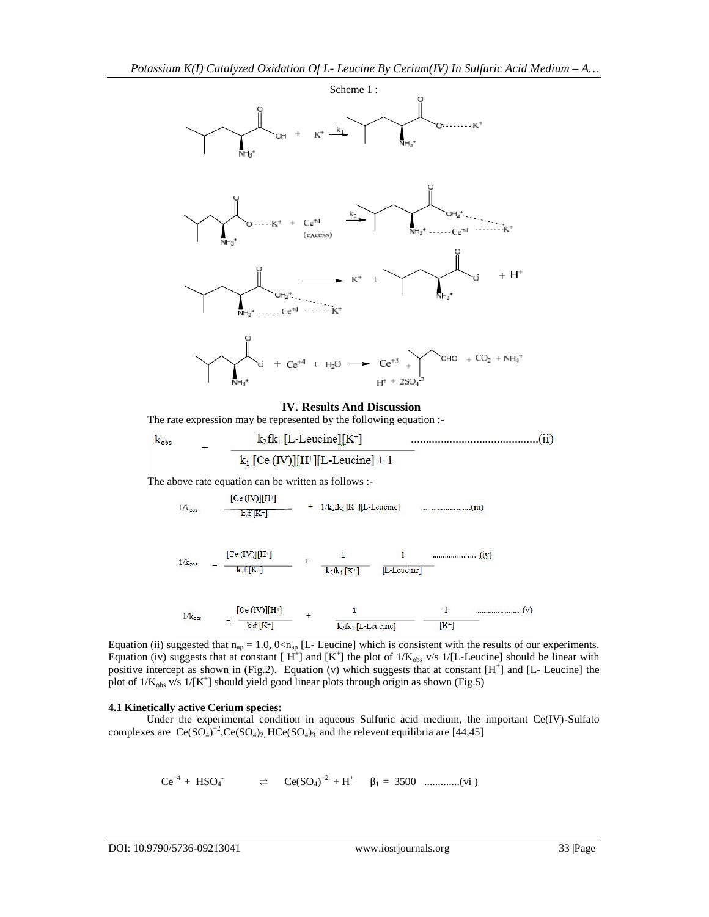

# **IV. Results And Discussion**

The rate expression may be represented by the following equation :-

$$
k_{obs} = k_2 f k_1 [L\text{-Leucine}][K^+]
$$
.................(ii)  

$$
k_1 [Ce (IV)][H^+][L\text{-Leucine}] + 1
$$

The above rate equation can be written as follows :-

$$
[Ce (IV)][H1]
$$
  
+ 1/k<sub>2</sub>fk<sub>1</sub>[K<sup>+</sup>][L-Leucinc] ....................(iii)

$$
1/k_{\text{obs}} = \frac{[Ce (IV)][H^1]}{k_2f[K^2]} + \frac{1}{k_2fk_1[K^2]} \frac{1}{[L\text{-Lcucinc}]} \tag{1}
$$

$$
1/k_{obs}
$$
 =  $\frac{[Ce (IV)][H^*]}{k_2[R^*]}$  +  $\frac{1}{k_2[k_1[L\text{-Lcucine}]]}$  =  $\frac{1}{[K^*]}$  (v)

Equation (ii) suggested that  $n_{ap} = 1.0$ ,  $0 < n_{ap}$  [L- Leucine] which is consistent with the results of our experiments. Equation (iv) suggests that at constant  $[H^+]$  and  $[K^+]$  the plot of  $1/K_{obs}$  v/s  $1/[L$ -Leucine] should be linear with positive intercept as shown in (Fig.2). Equation (v) which suggests that at constant [H<sup>+</sup>] and [L- Leucine] the plot of  $1/K_{obs}$  v/s  $1/[K^+]$  should yield good linear plots through origin as shown (Fig.5)

# **4.1 Kinetically active Cerium species:**

 Under the experimental condition in aqueous Sulfuric acid medium, the important Ce(IV)-Sulfato complexes are  $Ce(SO<sub>4</sub>)<sup>+</sup><sub>2</sub>Ce(SO<sub>4</sub>)<sub>2</sub> HCe(SO<sub>4</sub>)<sub>3</sub>$  and the relevent equilibria are [44,45]

Ce+4 + HSO<sup>4</sup> - ⇌ Ce(SO4)+2 + H<sup>+</sup> <sup>1</sup> = 3500 .............(vi )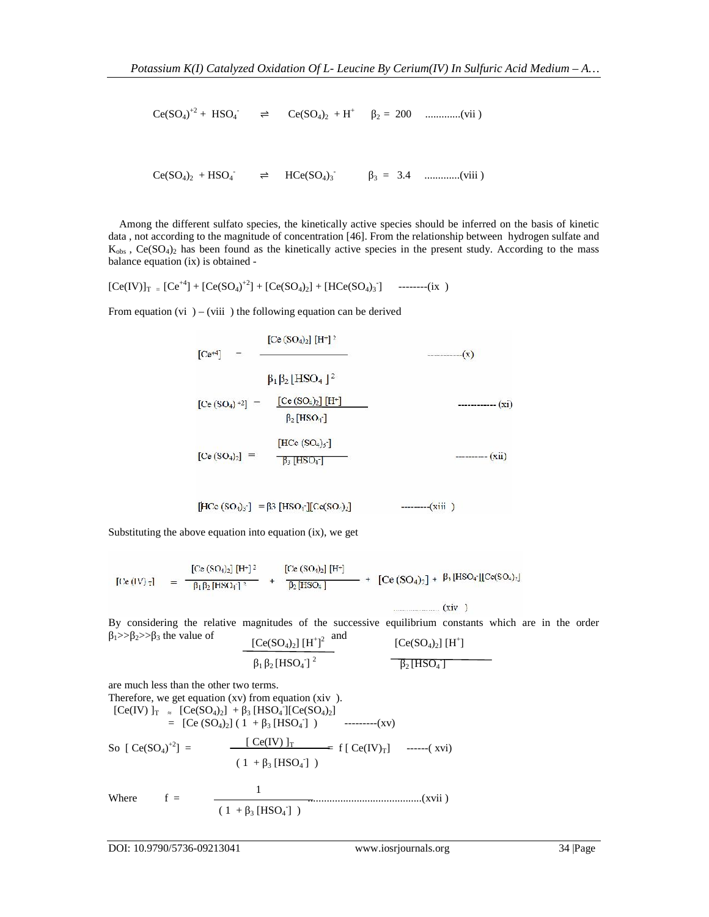$\text{Ce(SO}_4)^{+2}$  + HSO<sub>4</sub>  $\Rightarrow$   $\text{Ce(SO}_4)_2$  + H<sup>+</sup>  $_2$  = 200 ...............(vii)

 $Ce(SO_4)_2 + HSO_4$   $\Rightarrow$   $HCe(SO_4)_3$   $\qquad \qquad$   $\Rightarrow$   $1.6$   $HCe(SO_4)_3$   $\qquad \qquad$   $\qquad \qquad$   $\qquad \qquad$   $\Rightarrow$   $HCe(SO_4)_3$   $\qquad \qquad$   $\qquad \qquad$   $\qquad \qquad$   $\qquad \qquad$   $\qquad \qquad$   $\qquad \qquad$   $\qquad \qquad$   $\qquad \qquad$   $\qquad \qquad$   $\qquad \qquad$   $\qquad \qquad$   $\qquad \qquad$   $\qquad \qquad$ 

 Among the different sulfato species, the kinetically active species should be inferred on the basis of kinetic data , not according to the magnitude of concentration [46]. From the relationship between hydrogen sulfate and  $K_{obs}$ ,  $Ce(SO<sub>4</sub>)<sub>2</sub>$  has been found as the kinetically active species in the present study. According to the mass balance equation (ix) is obtained -

 $[Ce(IV)]_{T} = [Ce^{+4}] + [Ce(SO_4)^{+2}] + [Ce(SO_4)_2] + [HCe(SO_4)_3]$  --------(ix)

From equation (vi  $-$  (viii ) the following equation can be derived

 $[Ce^{+4}]$  -  $[Ce (SO<sub>4</sub>)<sub>2</sub>] [H<sup>+</sup>]$ <sup>2</sup>  $\cdots$  (x)  $\beta_1 \beta_2 |$ HSO<sub>4</sub> |<sup>2</sup>  $[Ce (SO<sub>4</sub>) +2]$  -  $[Ce (SO<sub>4</sub>)<sub>2</sub>][H<sup>+</sup>]$  $------(xi)$  $\beta_2$  [HSO<sub>1</sub><sup>-</sup>] 

 $[\text{HCc (SO<sub>1</sub>)<sub>3</sub>]} = \beta 3 [\text{HSO}<sub>1</sub>][\text{Cc(SO}<sub>1</sub>)<sub>2</sub>]$  ---------(xiii)

Substituting the above equation into equation (ix), we get

 $[Ce (IV)_{T}] = \frac{[Ce (SO_{4})_{2}] [H^{+}]^{2}}{\beta_{1} \beta_{2} [HSO_{4}]^{2}} + \frac{[Ce (SO_{4})_{2}] [H^{+}]}{\beta_{2} [HSO_{4}]} + [Ce (SO_{4})_{2}] + \beta_{3} [HSO_{4}] [Ce (SO_{4})_{2}]$ 

 $\ldots$  (xiv)

By considering the relative magnitudes of the successive equilibrium constants which are in the order

$$
1^{3/2} \rightarrow 2^{3/2}
$$
 3 the value of  $[Ce(SO_4)_2] [H^+]^2$  and  $[Ce(SO_4)_2] [H^+]$   
 $1^{-2}[HSO_4]^2$   $2[HSO_4]$ 

are much less than the other two terms.

Therefore, we get equation (xv) from equation (xiv ).  $[Ce(IV)]_T$   $[Ce(SO_4)_2]$  + 3  $[HSO_4$ ][ $Ce(SO_4)_2]$  $= [Ce (SO<sub>4</sub>)<sub>2</sub>] (1 + 3 [HSO<sub>4</sub>])$  ---------(xv) So  $[Ce(SO_4)^{+2}] = \frac{[Ce(IV)]_T}{]} = f [Ce(IV)_T] \quad \text{---}(xvi)$ Where f = ..........................................(xvii ) 1  $(1 + \frac{1}{3} [HSO_4] )$  $(1 + \frac{1}{3} [HSO_4])$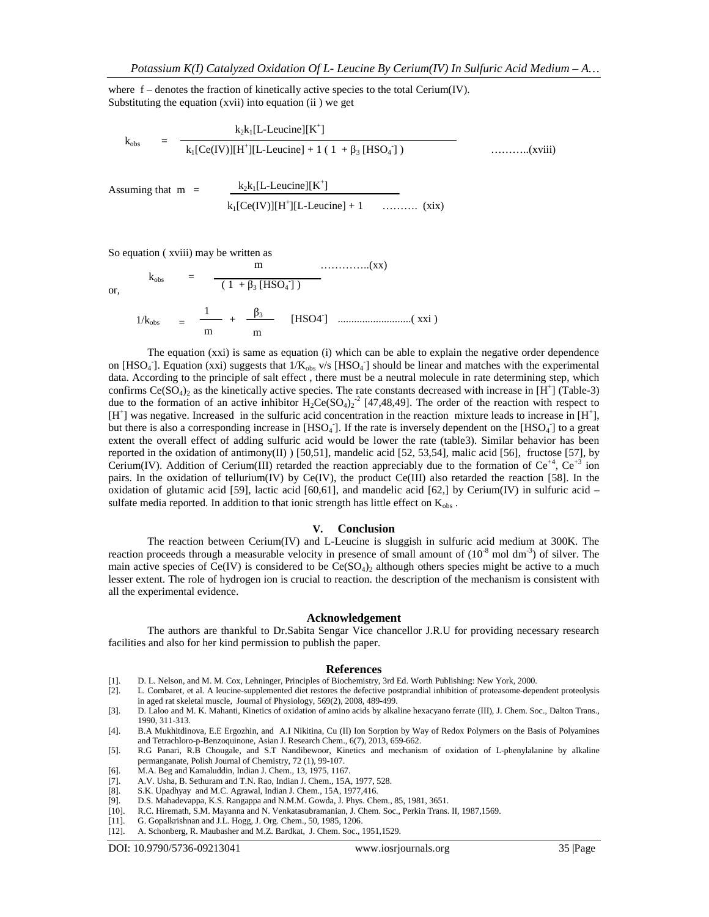where f – denotes the fraction of kinetically active species to the total Cerium(IV). Substituting the equation (xvii) into equation (ii ) we get

Assuming that  $m =$  $k_{\rm obs}$  $k_2k_1[L$ -Leucine][K<sup>+</sup>]  $k_1$ [Ce(IV)][H<sup>+</sup>][L-Leucine] + 1 ( 1 + <sub>3</sub> [HSO<sub>4</sub>]) -] ) ………..(xviii)  $k_2k_1[L$ -Leucine][K<sup>+</sup>]  $k_1[Ce(IV)][H^+][L\text{-}Leucine] + 1$  ……….. (xix)

So equation ( xviii) may be written as

or,

$$
k_{obs} = \frac{m}{(1 + s[HSO_4])}
$$
...(xx)  

$$
1/k_{obs} = \frac{1}{m} + \frac{3}{m}
$$
 [HSO4] .......(xxi)

The equation (xxi) is same as equation (i) which can be able to explain the negative order dependence on [HSO<sub>4</sub>]. Equation (xxi) suggests that  $1/K_{obs}$  v/s [HSO<sub>4</sub>] should be linear and matches with the experimental data. According to the principle of salt effect , there must be a neutral molecule in rate determining step, which confirms  $Ce(SO<sub>4</sub>)<sub>2</sub>$  as the kinetically active species. The rate constants decreased with increase in [H<sup>+</sup>] (Table-3) due to the formation of an active inhibitor  $H_2Ce(SO_4)_2^2$  [47,48,49]. The order of the reaction with respect to  $[H^+]$  was negative. Increased in the sulfuric acid concentration in the reaction mixture leads to increase in  $[H^+]$ , but there is also a corresponding increase in  $[HSO_4]$ . If the rate is inversely dependent on the  $[HSO_4]$  to a great extent the overall effect of adding sulfuric acid would be lower the rate (table3). Similar behavior has been reported in the oxidation of antimony(II)  $[50,51]$ , mandelic acid  $[52, 53,54]$ , malic acid  $[56]$ , fructose  $[57]$ , by Cerium(IV). Addition of Cerium(III) retarded the reaction appreciably due to the formation of Ce<sup>+4</sup>, Ce<sup>+3</sup> ion pairs. In the oxidation of tellurium(IV) by Ce(IV), the product Ce(III) also retarded the reaction [58]. In the oxidation of glutamic acid [59], lactic acid [60,61], and mandelic acid [62,] by Cerium(IV) in sulfuric acid – sulfate media reported. In addition to that ionic strength has little effect on  $K_{obs}$ .

#### **V. Conclusion**

The reaction between Cerium(IV) and L-Leucine is sluggish in sulfuric acid medium at 300K. The reaction proceeds through a measurable velocity in presence of small amount of  $(10^{-8} \text{ mol dm}^{-3})$  of silver. The main active species of Ce(IV) is considered to be  $Ce(SO<sub>4</sub>)<sub>2</sub>$  although others species might be active to a much lesser extent. The role of hydrogen ion is crucial to reaction. the description of the mechanism is consistent with all the experimental evidence.

#### **Acknowledgement**

The authors are thankful to Dr.Sabita Sengar Vice chancellor J.R.U for providing necessary research facilities and also for her kind permission to publish the paper.

#### **References**

- [1]. D. L. Nelson, and M. M. Cox, Lehninger, Principles of Biochemistry, 3rd Ed. Worth Publishing: New York, 2000.
- [2]. L. Combaret, et al. A leucine-supplemented diet restores the defective postprandial inhibition of proteasome-dependent proteolysis in aged rat skeletal muscle, Journal of Physiology, 569(2), 2008, 489-499.
- [3]. D. Laloo and M. K. Mahanti, Kinetics of oxidation of amino acids by alkaline hexacyano ferrate (III), J. Chem. Soc., Dalton Trans., 1990, 311-313.
- [4]. B.A Mukhitdinova, E.E Ergozhin, and A.I Nikitina, Cu (II) Ion Sorption by Way of Redox Polymers on the Basis of Polyamines and Tetrachloro-p-Benzoquinone, Asian J. Research Chem., 6(7), 2013, 659-662.
- [5]. R.G Panari, R.B Chougale, and S.T Nandibewoor, Kinetics and mechanism of oxidation of L-phenylalanine by alkaline permanganate, Polish Journal of Chemistry, 72 (1), 99-107.
- [6]. M.A. Beg and Kamaluddin, Indian J. Chem., 13, 1975, 1167.
- [7]. A.V. Usha, B. Sethuram and T.N. Rao, Indian J. Chem., 15A, 1977, 528.
- [8]. S.K. Upadhyay and M.C. Agrawal, Indian J. Chem., 15A, 1977,416.
- [9]. D.S. Mahadevappa, K.S. Rangappa and N.M.M. Gowda, J. Phys. Chem., 85, 1981, 3651.
- [10]. R.C. Hiremath, S.M. Mayanna and N. Venkatasubramanian, J. Chem. Soc., Perkin Trans. II, 1987,1569.
- [11]. G. Gopalkrishnan and J.L. Hogg, J. Org. Chem., 50, 1985, 1206.
- [12]. A. Schonberg, R. Maubasher and M.Z. Bardkat, J. Chem. Soc., 1951,1529.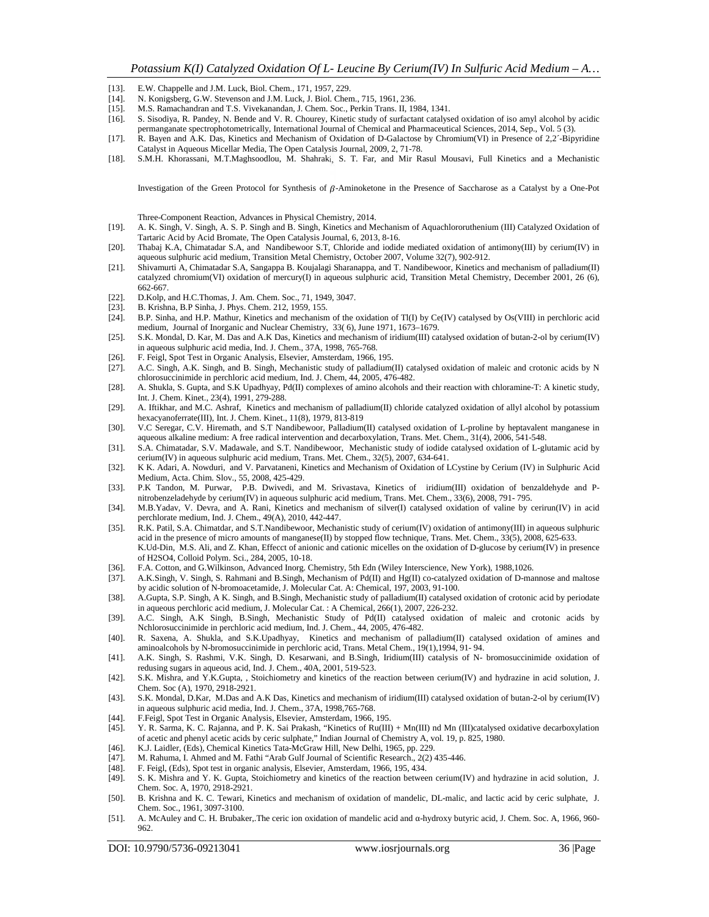- [14]. N. Konigsberg, G.W. Stevenson and J.M. Luck, J. Biol. Chem., 715, 1961, 236.
- [15]. M.S. Ramachandran and T.S. Vivekanandan, J. Chem. Soc., Perkin Trans. II, 1984, 1341.
- [16]. S. Sisodiya, R. Pandey, N. Bende and V. R. Chourey, Kinetic study of surfactant catalysed oxidation of iso amyl alcohol by acidic
- permanganate spectrophotometrically, International Journal of Chemical and Pharmaceutical Sciences, 2014, Sep., Vol. 5 (3).
- [17]. R. Bayen and A.K. Das, Kinetics and Mechanism of Oxidation of D-Galactose by Chromium(VI) in Presence of 2,2´-Bipyridine Catalyst in Aqueous Micellar Media, The Open Catalysis Journal, 2009, 2, 71-78.
- [18]. S.M.H. Khorassani, M.T.Maghsoodlou, M. Shahraki, S. T. Far, and Mir Rasul Mousavi, Full Kinetics and a Mechanistic

Investigation of the Green Protocol for Synthesis of  $\beta$ -Aminoketone in the Presence of Saccharose as a Catalyst by a One-Pot

Three-Component Reaction, Advances in Physical Chemistry, 2014.

- [19]. A. K. Singh, V. Singh, A. S. P. Singh and B. Singh, Kinetics and Mechanism of Aquachlororuthenium (III) Catalyzed Oxidation of Tartaric Acid by Acid Bromate, The Open Catalysis Journal, 6, 2013, 8-16.
- [20]. Thabaj K.A, Chimatadar S.A, and Nandibewoor S.T, Chloride and iodide mediated oxidation of antimony(III) by cerium(IV) in aqueous sulphuric acid medium, Transition Metal Chemistry, October 2007, Volume 32(7), 902-912.
- [21]. Shivamurti A, Chimatadar S.A, Sangappa B. Koujalagi Sharanappa, and T. Nandibewoor, Kinetics and mechanism of palladium(II) catalyzed chromium(VI) oxidation of mercury(I) in aqueous sulphuric acid, Transition Metal Chemistry, December 2001, 26 (6), 662-667.
- [22]. D.Kolp, and H.C.Thomas, J. Am. Chem. Soc., 71, 1949, 3047.
- [23]. B. Krishna, B.P Sinha, J. Phys. Chem. 212, 1959, 155.<br>[24]. B.P. Sinha, and H.P. Mathur, Kinetics and mechanism
- [24]. B.P. Sinha, and H.P. Mathur, Kinetics and mechanism of the oxidation of Tl(I) by Ce(IV) catalysed by Os(VIII) in perchloric acid medium, Journal of Inorganic and Nuclear Chemistry, 33( 6), June 1971, 1673–1679.
- [25]. S.K. Mondal, D. Kar, M. Das and A.K Das, Kinetics and mechanism of iridium(III) catalysed oxidation of butan-2-ol by cerium(IV) in aqueous sulphuric acid media, Ind. J. Chem., 37A, 1998, 765-768.
- [26]. F. Feigl, Spot Test in Organic Analysis, Elsevier, Amsterdam, 1966, 195.
- [27]. A.C. Singh, A.K. Singh, and B. Singh, Mechanistic study of palladium(II) catalysed oxidation of maleic and crotonic acids by N chlorosuccinimide in perchloric acid medium, Ind. J. Chem, 44, 2005, 476-482.
- [28]. A. Shukla, S. Gupta, and S.K Upadhyay, Pd(II) complexes of amino alcohols and their reaction with chloramine-T: A kinetic study, Int. J. Chem. Kinet., 23(4), 1991, 279-288.
- [29]. A. Iftikhar, and M.C. Ashraf, Kinetics and mechanism of palladium(II) chloride catalyzed oxidation of allyl alcohol by potassium hexacyanoferrate(III), Int. J. Chem. Kinet., 11(8), 1979, 813-819
- [30]. V.C Seregar, C.V. Hiremath, and S.T Nandibewoor, Palladium(II) catalysed oxidation of L-proline by heptavalent manganese in aqueous alkaline medium: A free radical intervention and decarboxylation, Trans. Met. Chem., 31(4), 2006, 541-548.
- [31]. S.A. Chimatadar, S.V. Madawale, and S.T. Nandibewoor, Mechanistic study of iodide catalysed oxidation of L-glutamic acid by cerium(IV) in aqueous sulphuric acid medium, Trans. Met. Chem., 32(5), 2007, 634-641.
- [32]. K K. Adari, A. Nowduri, and V. Parvataneni, Kinetics and Mechanism of Oxidation of LCystine by Cerium (IV) in Sulphuric Acid Medium, Acta. Chim. Slov., 55, 2008, 425-429.
- [33]. P.K Tandon, M. Purwar, P.B. Dwivedi, and M. Srivastava, Kinetics of iridium(III) oxidation of benzaldehyde and P nitrobenzeladehyde by cerium(IV) in aqueous sulphuric acid medium, Trans. Met. Chem., 33(6), 2008, 791- 795.
- [34]. M.B.Yadav, V. Devra, and A. Rani, Kinetics and mechanism of silver(I) catalysed oxidation of valine by cerirun(IV) in acid perchlorate medium, Ind. J. Chem., 49(A), 2010, 442-447.
- [35]. R.K. Patil, S.A. Chimatdar, and S.T.Nandibewoor, Mechanistic study of cerium(IV) oxidation of antimony(III) in aqueous sulphuric acid in the presence of micro amounts of manganese(II) by stopped flow technique, Trans. Met. Chem., 33(5), 2008, 625-633. K.Ud-Din, M.S. Ali, and Z. Khan, Effecct of anionic and cationic micelles on the oxidation of D-glucose by cerium(IV) in presence of H2SO4, Colloid Polym. Sci., 284, 2005, 10-18.
- [36]. F.A. Cotton, and G.Wilkinson, Advanced Inorg. Chemistry, 5th Edn (Wiley Interscience, New York), 1988,1026. [37]. A.K.Singh, V. Singh, S. Rahmani and B.Singh, Mechanism of Pd(II) and Hg(II) co-catalyzed oxidation of
- A.K.Singh, V. Singh, S. Rahmani and B.Singh, Mechanism of Pd(II) and Hg(II) co-catalyzed oxidation of D-mannose and maltose by acidic solution of N-bromoacetamide, J. Molecular Cat. A: Chemical, 197, 2003, 91-100.
- [38]. A.Gupta, S.P. Singh, A K. Singh, and B.Singh, Mechanistic study of palladium(II) catalysed oxidation of crotonic acid by periodate in aqueous perchloric acid medium, J. Molecular Cat. : A Chemical, 266(1), 2007, 226-232.
- [39]. A.C. Singh, A.K Singh, B.Singh, Mechanistic Study of Pd(II) catalysed oxidation of maleic and crotonic acids by Nchlorosuccinimide in perchloric acid medium, Ind. J. Chem., 44, 2005, 476-482.
- [40]. R. Saxena, A. Shukla, and S.K.Upadhyay, Kinetics and mechanism of palladium(II) catalysed oxidation of amines and aminoalcohols by N-bromosuccinimide in perchloric acid, Trans. Metal Chem., 19(1),1994, 91- 94.
- [41]. A.K. Singh, S. Rashmi, V.K. Singh, D. Kesarwani, and B.Singh, Iridium(III) catalysis of N- bromosuccinimide oxidation of redusing sugars in aqueous acid, Ind. J. Chem., 40A, 2001, 519-523.
- [42]. S.K. Mishra, and Y.K.Gupta, , Stoichiometry and kinetics of the reaction between cerium(IV) and hydrazine in acid solution, J. Chem. Soc (A), 1970, 2918-2921.
- [43]. S.K. Mondal, D.Kar, M.Das and A.K Das, Kinetics and mechanism of iridium(III) catalysed oxidation of butan-2-ol by cerium(IV) in aqueous sulphuric acid media, Ind. J. Chem., 37A, 1998,765-768.
- [44]. F.Feigl, Spot Test in Organic Analysis, Elsevier, Amsterdam, 1966, 195.
- [45]. Y. R. Sarma, K. C. Rajanna, and P. K. Sai Prakash, "Kinetics of Ru(III) + Mn(III) nd Mn (III)catalysed oxidative decarboxylation of acetic and phenyl acetic acids by ceric sulphate," Indian Journal of Chemistry A, vol. 19, p. 825, 1980.
- [46]. K.J. Laidler, (Eds), Chemical Kinetics Tata-McGraw Hill, New Delhi, 1965, pp. 229.
- M. Rahuma, I. Ahmed and M. Fathi "Arab Gulf Journal of Scientific Research., 2(2) 435-446.
- [48]. F. Feigl, (Eds), Spot test in organic analysis, Elsevier, Amsterdam, 1966, 195, 434.
- [49]. S. K. Mishra and Y. K. Gupta, Stoichiometry and kinetics of the reaction between cerium(IV) and hydrazine in acid solution, J. Chem. Soc. A, 1970, 2918-2921.
- [50]. B. Krishna and K. C. Tewari, Kinetics and mechanism of oxidation of mandelic, DL-malic, and lactic acid by ceric sulphate, J. Chem. Soc., 1961, 3097-3100.
- [51]. A. McAuley and C. H. Brubaker,.The ceric ion oxidation of mandelic acid and -hydroxy butyric acid, J. Chem. Soc. A, 1966, 960-962.

<sup>[13].</sup> E.W. Chappelle and J.M. Luck, Biol. Chem., 171, 1957, 229.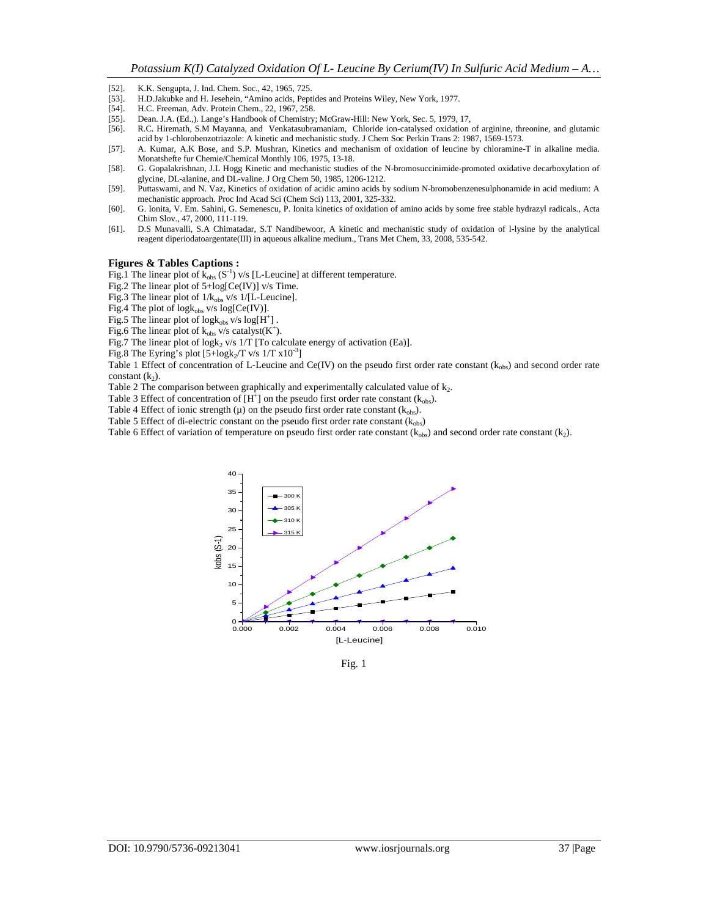- [52]. K.K. Sengupta, J. Ind. Chem. Soc., 42, 1965, 725.<br>[53]. H.D.Jakubke and H. Jesehein, "Amino acids. Pept
- H.D.Jakubke and H. Jesehein, "Amino acids, Peptides and Proteins Wiley, New York, 1977.
- [54]. H.C. Freeman, Adv. Protein Chem., 22, 1967, 258.
- [55]. Dean. J.A. (Ed.,). Lange's Handbook of Chemistry; McGraw-Hill: New York, Sec. 5, 1979, 17,
- [56]. R.C. Hiremath, S.M Mayanna, and Venkatasubramaniam, Chloride ion-catalysed oxidation of arginine, threonine, and glutamic acid by 1-chlorobenzotriazole: A kinetic and mechanistic study. J Chem Soc Perkin Trans 2: 1987, 1569-1573.
- [57]. A. Kumar, A.K Bose, and S.P. Mushran, Kinetics and mechanism of oxidation of leucine by chloramine-T in alkaline media. Monatshefte fur Chemie/Chemical Monthly 106, 1975, 13-18.
- [58]. G. Gopalakrishnan, J.L Hogg Kinetic and mechanistic studies of the N-bromosuccinimide-promoted oxidative decarboxylation of glycine, DL-alanine, and DL-valine. J Org Chem 50, 1985, 1206-1212.
- [59]. Puttaswami, and N. Vaz, Kinetics of oxidation of acidic amino acids by sodium N-bromobenzenesulphonamide in acid medium: A mechanistic approach. Proc Ind Acad Sci (Chem Sci) 113, 2001, 325-332.
- [60]. G. Ionita, V. Em. Sahini, G. Semenescu, P. Ionita kinetics of oxidation of amino acids by some free stable hydrazyl radicals., Acta Chim Slov., 47, 2000, 111-119.
- [61]. D.S Munavalli, S.A Chimatadar, S.T Nandibewoor, A kinetic and mechanistic study of oxidation of l-lysine by the analytical reagent diperiodatoargentate(III) in aqueous alkaline medium., Trans Met Chem, 33, 2008, 535-542.

#### **Figures & Tables Captions :**

Fig.1 The linear plot of  $\bar{k}_{obs} (S^{-1})$  v/s [L-Leucine] at different temperature.

- Fig.2 The linear plot of 5+log[Ce(IV)] v/s Time.
- Fig.3 The linear plot of  $1/k_{obs}$  v/s  $1/[L$ -Leucine].
- Fig.4 The plot of  $logk_{obs}$  v/s  $log[Ce(IV)]$ .
- Fig.5 The linear plot of  $log k_{obs}$  v/s  $log[H^+]$ .
- Fig.6 The linear plot of  $k_{obs}$  v/s catalyst( $K^+$ ).

Fig.7 The linear plot of log $k_2$  v/s  $1/T$  [To calculate energy of activation (Ea)].

Fig.8 The Eyring's plot  $[5 + \log k_2/T$  v/s  $1/T$  x $10^{-3}]$ 

Table 1 Effect of concentration of L-Leucine and Ce(IV) on the pseudo first order rate constant ( $k_{obs}$ ) and second order rate constant  $(k_2)$ .

Table 2 The comparison between graphically and experimentally calculated value of  $k_2$ .

Table 3 Effect of concentration of  $[H^+]$  on the pseudo first order rate constant ( $k_{obs}$ ).

Table 4 Effect of ionic strength  $(\mu)$  on the pseudo first order rate constant  $(k_{obs})$ .

Table 5 Effect of di-electric constant on the pseudo first order rate constant  $(k_{obs})$ 

Table 6 Effect of variation of temperature on pseudo first order rate constant  $(k_{obs})$  and second order rate constant  $(k_2)$ .



Fig. 1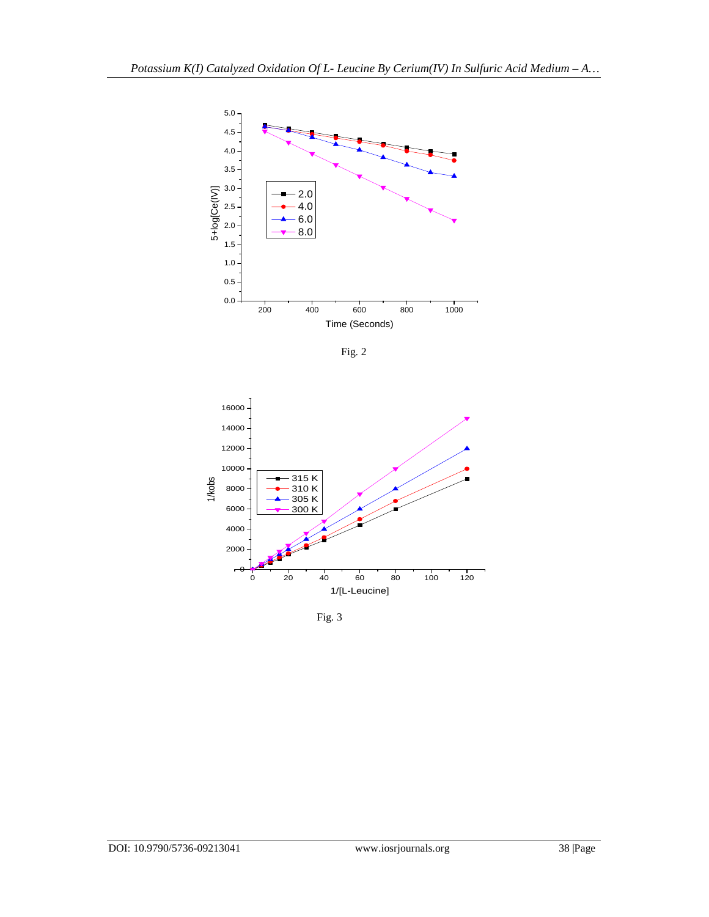

Fig. 2



Fig. 3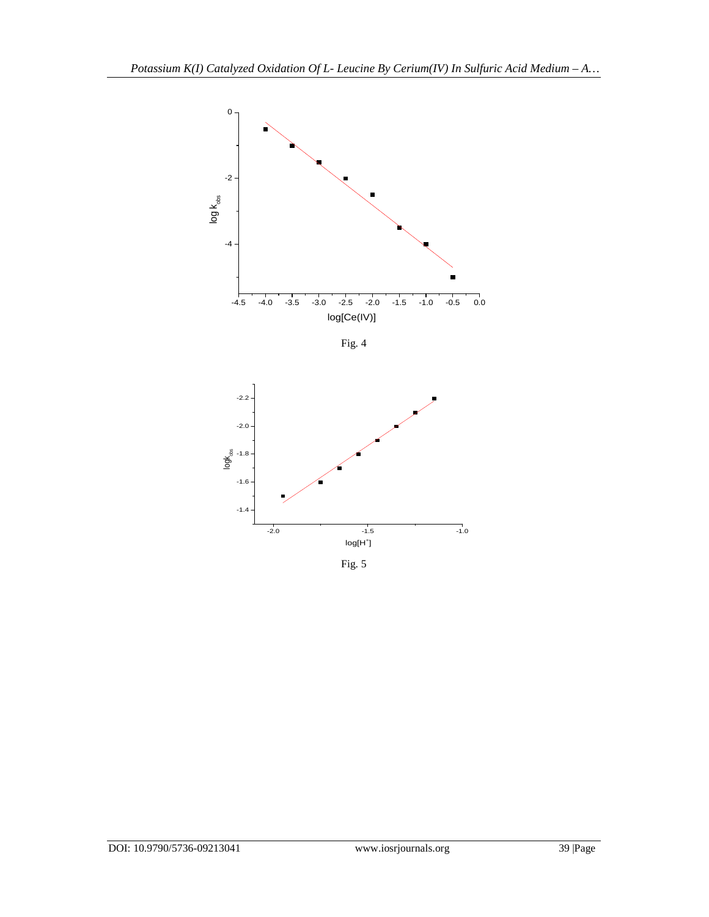

Fig. 4



Fig. 5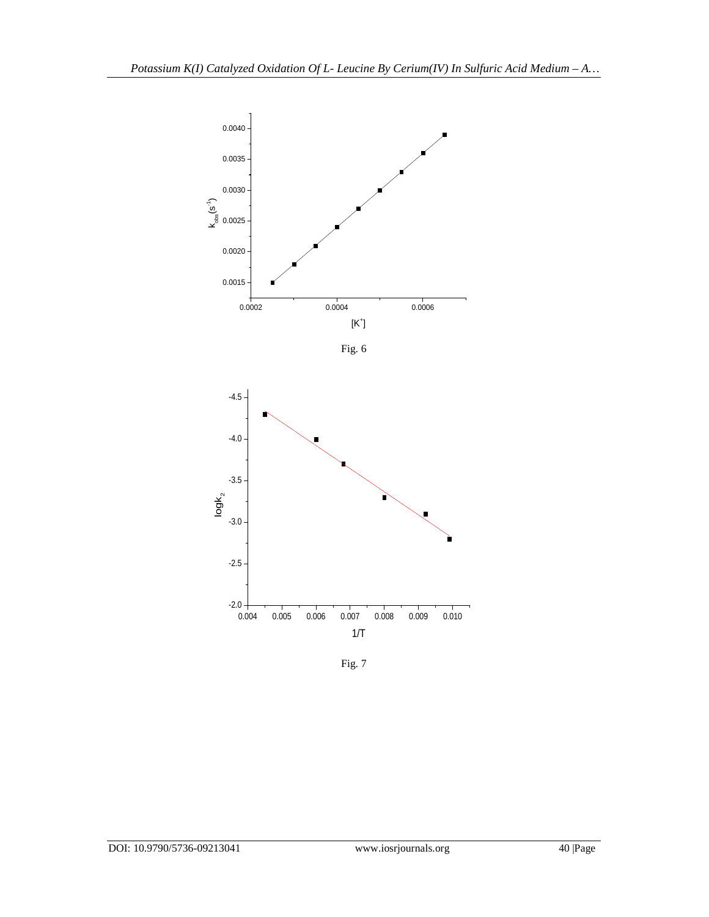

Fig. 6



Fig. 7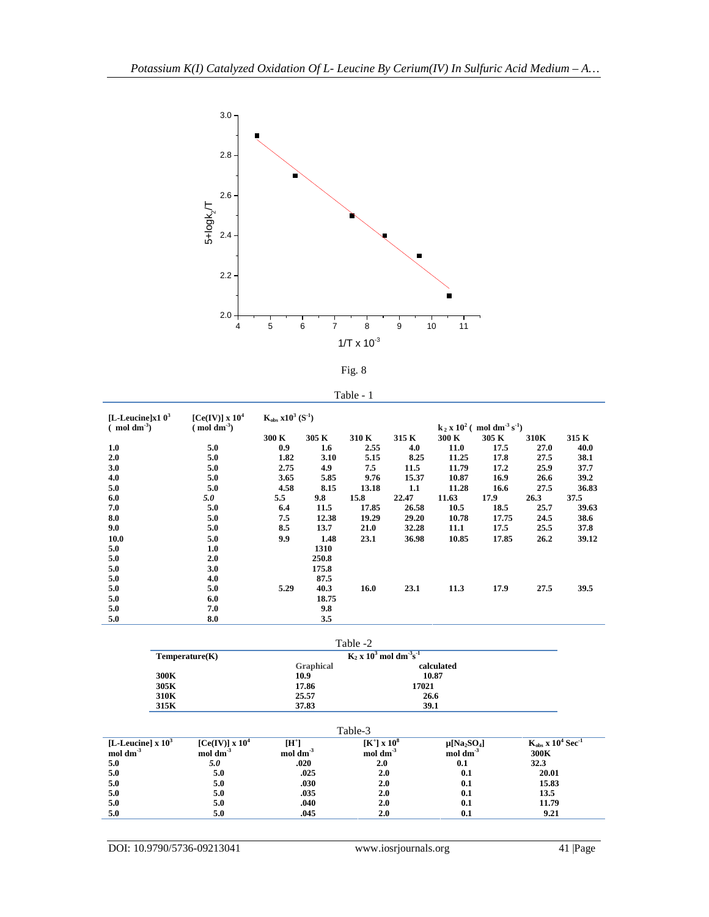



| Table - |  |
|---------|--|
|---------|--|

| [L-Leucine] $x103$ | [Ce(IV)] $\ge 10^4$ | $K_{obs}$ $x10^3$ $(S^{-1})$ |                  |       |       |       |                                                                |      |       |  |
|--------------------|---------------------|------------------------------|------------------|-------|-------|-------|----------------------------------------------------------------|------|-------|--|
| $\pmod{dm^3}$      | $\pmod{dm^3}$       |                              |                  |       |       |       | $k_2$ x 10 <sup>2</sup> (moldm <sup>-3</sup> s <sup>-1</sup> ) |      |       |  |
|                    |                     | 300 K                        | 305 K            | 310 K | 315 K | 300 K | 305 K                                                          | 310K | 315 K |  |
| 1.0                | 5.0                 | 0.9                          | $1.6\phantom{0}$ | 2.55  | 4.0   | 11.0  | 17.5                                                           | 27.0 | 40.0  |  |
| 2.0                | 5.0                 | 1.82                         | 3.10             | 5.15  | 8.25  | 11.25 | 17.8                                                           | 27.5 | 38.1  |  |
| 3.0                | 5.0                 | 2.75                         | 4.9              | 7.5   | 11.5  | 11.79 | 17.2                                                           | 25.9 | 37.7  |  |
| 4.0                | 5.0                 | 3.65                         | 5.85             | 9.76  | 15.37 | 10.87 | 16.9                                                           | 26.6 | 39.2  |  |
| 5.0                | 5.0                 | 4.58                         | 8.15             | 13.18 | 1.1   | 11.28 | 16.6                                                           | 27.5 | 36.83 |  |
| 6.0                | 5.0                 | 5.5                          | 9.8              | 15.8  | 22.47 | 11.63 | 17.9                                                           | 26.3 | 37.5  |  |
| 7.0                | 5.0                 | 6.4                          | 11.5             | 17.85 | 26.58 | 10.5  | 18.5                                                           | 25.7 | 39.63 |  |
| 8.0                | 5.0                 | 7.5                          | 12.38            | 19.29 | 29.20 | 10.78 | 17.75                                                          | 24.5 | 38.6  |  |
| 9.0                | 5.0                 | 8.5                          | 13.7             | 21.0  | 32.28 | 11.1  | 17.5                                                           | 25.5 | 37.8  |  |
| 10.0               | 5.0                 | 9.9                          | 1.48             | 23.1  | 36.98 | 10.85 | 17.85                                                          | 26.2 | 39.12 |  |
| 5.0                | 1.0                 |                              | 1310             |       |       |       |                                                                |      |       |  |
| 5.0                | 2.0                 |                              | 250.8            |       |       |       |                                                                |      |       |  |
| 5.0                | 3.0                 |                              | 175.8            |       |       |       |                                                                |      |       |  |
| 5.0                | 4.0                 |                              | 87.5             |       |       |       |                                                                |      |       |  |
| 5.0                | 5.0                 | 5.29                         | 40.3             | 16.0  | 23.1  | 11.3  | 17.9                                                           | 27.5 | 39.5  |  |
| 5.0                | 6.0                 |                              | 18.75            |       |       |       |                                                                |      |       |  |
| 5.0                | 7.0                 |                              | 9.8              |       |       |       |                                                                |      |       |  |
| 5.0                | 8.0                 |                              | 3.5              |       |       |       |                                                                |      |       |  |

Table -2

| Temperature(K) | $K_2$ x 10 <sup>3</sup> mol dm <sup>-3</sup> s <sup>-1</sup> |            |  |
|----------------|--------------------------------------------------------------|------------|--|
|                | <b>Graphical</b>                                             | calculated |  |
| 300K           | 10.9                                                         | 10.87      |  |
| 305K           | 17.86                                                        | 17021      |  |
| 310K           | 25.57                                                        | 26.6       |  |
| 315K           | 37.83                                                        | 39.1       |  |

|                                                |                                                |                                          | Table-3                                                |                                                                     |                                              |
|------------------------------------------------|------------------------------------------------|------------------------------------------|--------------------------------------------------------|---------------------------------------------------------------------|----------------------------------------------|
| [L-Leucine] $\ge 10^3$<br>$mol \, \text{dm}^3$ | $[Ce(IV)] \times 10^4$<br>$mol \, \text{dm}^3$ | $[\mathbf{H}^+]$<br>$mol \, \text{dm}^3$ | $[K^{\dagger}] \times 10^8$<br>$mol \, \text{dm}^{-3}$ | $\mu$ [Na <sub>2</sub> SO <sub>4</sub> ]<br>$\mod$ dm <sup>-3</sup> | $K_{obs}$ x $10^4$ Sec <sup>-1</sup><br>300K |
| 5.0                                            | 5.0                                            | .020                                     | 2.0                                                    | 0.1                                                                 | 32.3                                         |
| 5.0                                            | 5.0                                            | .025                                     | 2.0                                                    | 0.1                                                                 | 20.01                                        |
| 5.0                                            | 5.0                                            | .030                                     | 2.0                                                    | 0.1                                                                 | 15.83                                        |
| 5.0                                            | 5.0                                            | .035                                     | 2.0                                                    | 0.1                                                                 | 13.5                                         |
| 5.0                                            | 5.0                                            | .040                                     | 2.0                                                    | 0.1                                                                 | 11.79                                        |
| 5.0                                            | 5.0                                            | .045                                     | 2.0                                                    | 0.1                                                                 | 9.21                                         |

DOI: 10.9790/5736-09213041 www.iosrjournals.org 41 |Page